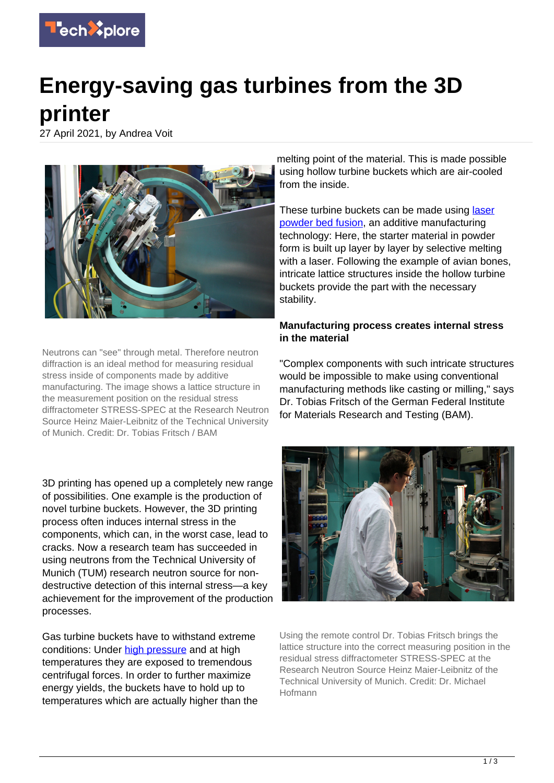

# **Energy-saving gas turbines from the 3D printer**

27 April 2021, by Andrea Voit



Neutrons can "see" through metal. Therefore neutron diffraction is an ideal method for measuring residual stress inside of components made by additive manufacturing. The image shows a lattice structure in the measurement position on the residual stress diffractometer STRESS-SPEC at the Research Neutron Source Heinz Maier-Leibnitz of the Technical University of Munich. Credit: Dr. Tobias Fritsch / BAM

3D printing has opened up a completely new range of possibilities. One example is the production of novel turbine buckets. However, the 3D printing process often induces internal stress in the components, which can, in the worst case, lead to cracks. Now a research team has succeeded in using neutrons from the Technical University of Munich (TUM) research neutron source for nondestructive detection of this internal stress—a key achievement for the improvement of the production processes.

Gas turbine buckets have to withstand extreme conditions: Under [high pressure](https://techxplore.com/tags/high+pressure/) and at high temperatures they are exposed to tremendous centrifugal forces. In order to further maximize energy yields, the buckets have to hold up to temperatures which are actually higher than the melting point of the material. This is made possible using hollow turbine buckets which are air-cooled from the inside.

These turbine buckets can be made using [laser](https://techxplore.com/tags/laser+powder+bed+fusion/) [powder bed fusion](https://techxplore.com/tags/laser+powder+bed+fusion/), an additive manufacturing technology: Here, the starter material in powder form is built up layer by layer by selective melting with a laser. Following the example of avian bones, intricate lattice structures inside the hollow turbine buckets provide the part with the necessary stability.

## **Manufacturing process creates internal stress in the material**

"Complex components with such intricate structures would be impossible to make using conventional manufacturing methods like casting or milling," says Dr. Tobias Fritsch of the German Federal Institute for Materials Research and Testing (BAM).



Using the remote control Dr. Tobias Fritsch brings the lattice structure into the correct measuring position in the residual stress diffractometer STRESS-SPEC at the Research Neutron Source Heinz Maier-Leibnitz of the Technical University of Munich. Credit: Dr. Michael Hofmann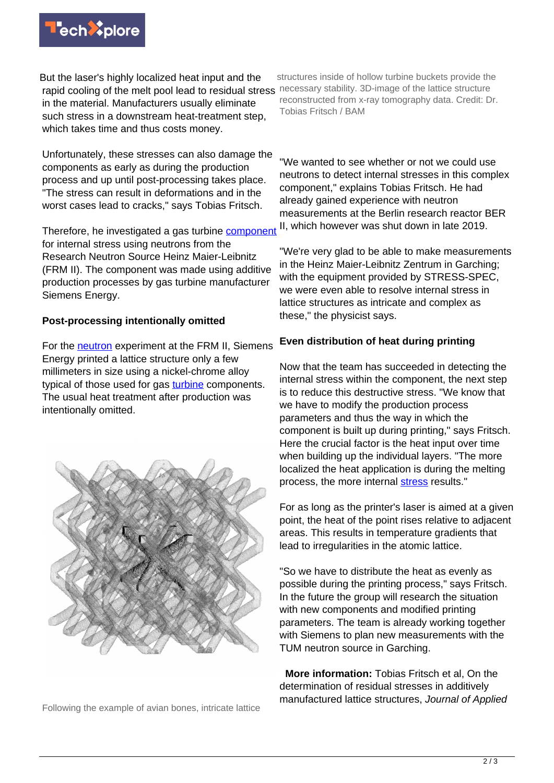

But the laser's highly localized heat input and the rapid cooling of the melt pool lead to residual stress necessary stability. 3D-image of the lattice structure in the material. Manufacturers usually eliminate such stress in a downstream heat-treatment step, which takes time and thus costs money.

Unfortunately, these stresses can also damage the components as early as during the production process and up until post-processing takes place. "The stress can result in deformations and in the worst cases lead to cracks," says Tobias Fritsch.

Therefore, he investigated a gas turbine [component](https://techxplore.com/tags/component/) for internal stress using neutrons from the Research Neutron Source Heinz Maier-Leibnitz (FRM II). The component was made using additive production processes by gas turbine manufacturer Siemens Energy.

#### **Post-processing intentionally omitted**

For the **neutron** experiment at the FRM II, Siemens Energy printed a lattice structure only a few millimeters in size using a nickel-chrome alloy typical of those used for gas [turbine](https://techxplore.com/tags/turbine/) components. The usual heat treatment after production was intentionally omitted.



Following the example of avian bones, intricate lattice

structures inside of hollow turbine buckets provide the reconstructed from x-ray tomography data. Credit: Dr. Tobias Fritsch / BAM

"We wanted to see whether or not we could use neutrons to detect internal stresses in this complex component," explains Tobias Fritsch. He had already gained experience with neutron measurements at the Berlin research reactor BER II, which however was shut down in late 2019.

"We're very glad to be able to make measurements in the Heinz Maier-Leibnitz Zentrum in Garching; with the equipment provided by STRESS-SPEC, we were even able to resolve internal stress in lattice structures as intricate and complex as these," the physicist says.

## **Even distribution of heat during printing**

Now that the team has succeeded in detecting the internal stress within the component, the next step is to reduce this destructive stress. "We know that we have to modify the production process parameters and thus the way in which the component is built up during printing," says Fritsch. Here the crucial factor is the heat input over time when building up the individual layers. "The more localized the heat application is during the melting process, the more internal [stress](https://techxplore.com/tags/stress/) results."

For as long as the printer's laser is aimed at a given point, the heat of the point rises relative to adjacent areas. This results in temperature gradients that lead to irregularities in the atomic lattice.

"So we have to distribute the heat as evenly as possible during the printing process," says Fritsch. In the future the group will research the situation with new components and modified printing parameters. The team is already working together with Siemens to plan new measurements with the TUM neutron source in Garching.

 **More information:** Tobias Fritsch et al, On the determination of residual stresses in additively manufactured lattice structures, Journal of Applied